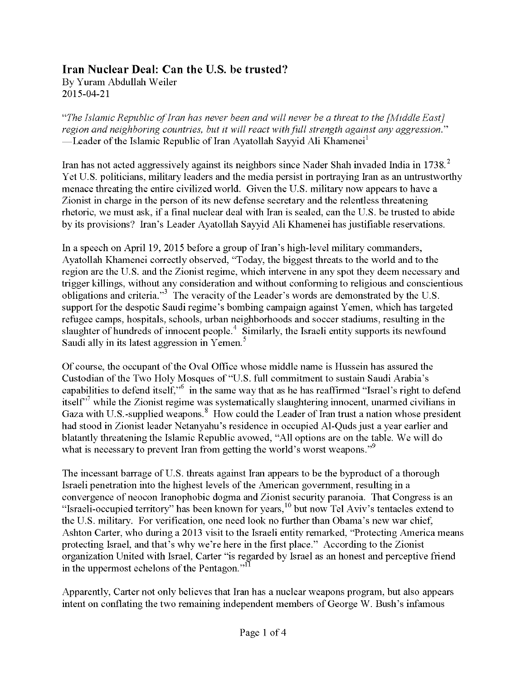## **Iran Nuclear Deal: Can the U.S. be trusted?**

By Yuram Abdullah Weiler 2015-04-21

*"The Islamic Republic ofIran has never been and will never be a threat to the [Middle East] region and neighboring countries, but it will react withfull strength against any aggression*." —Leader of the Islamic Republic of Iran Ayatollah Sayyid Ali Khamenei<sup>1</sup>

Iran has not acted aggressively against its neighbors since Nader Shah invaded India in 1738.<sup>2</sup> Yet U.S. politicians, military leaders and the media persist in portraying Iran as an untrustworthy menace threating the entire civilized world. Given the U.S. military now appears to have a Zionist in charge in the person of its new defense secretary and the relentless threatening rhetoric, we must ask, if a final nuclear deal with Iran is sealed, can the U.S. be trusted to abide by its provisions? Iran's Leader Ayatollah Sayyid Ali Khamenei has justifiable reservations.

In a speech on April 19, 2015 before a group of Iran's high-level military commanders, Ayatollah Khamenei correctly observed, "Today, the biggest threats to the world and to the region are the U.S. and the Zionist regime, which intervene in any spot they deem necessary and trigger killings, without any consideration and without conforming to religious and conscientious obligations and criteria."<sup>3</sup> The veracity of the Leader's words are demonstrated by the U.S. support for the despotic Saudi regime's bombing campaign against Yemen, which has targeted refugee camps, hospitals, schools, urban neighborhoods and soccer stadiums, resulting in the slaughter of hundreds of innocent people.<sup>4</sup> Similarly, the Israeli entity supports its newfound Saudi ally in its latest aggression in Yemen.<sup>5</sup>

Of course, the occupant of the Oval Office whose middle name is Hussein has assured the Custodian of the Two Holy Mosques of "U.S. full commitment to sustain Saudi Arabia's capabilities to defend itself,"<sup>6</sup> in the same way that as he has reaffirmed "Israel's right to defend itself $\gamma$ <sup>7</sup> while the Zionist regime was systematically slaughtering innocent, unarmed civilians in Gaza with U.S.-supplied weapons.<sup>8</sup> How could the Leader of Iran trust a nation whose president had stood in Zionist leader Netanyahu's residence in occupied Al-Quds just a year earlier and blatantly threatening the Islamic Republic avowed, "All options are on the table. We will do what is necessary to prevent Iran from getting the world's worst weapons."<sup>9</sup>

The incessant barrage of U.S. threats against Iran appears to be the byproduct of a thorough Israeli penetration into the highest levels of the American government, resulting in a convergence of neocon Iranophobic dogma and Zionist security paranoia. That Congress is an "Israeli-occupied territory" has been known for years,<sup>10</sup> but now Tel Aviv's tentacles extend to the U.S. military. For verification, one need look no further than Obama's new war chief, Ashton Carter, who during a 2013 visit to the Israeli entity remarked, "Protecting America means protecting Israel, and that's why we're here in the first place." According to the Zionist organization United with Israel, Carter "is regarded by Israel as an honest and perceptive friend in the uppermost echelons of the Pentagon."<sup>11</sup>

Apparently, Carter not only believes that Iran has a nuclear weapons program, but also appears intent on conflating the two remaining independent members of George W. Bush's infamous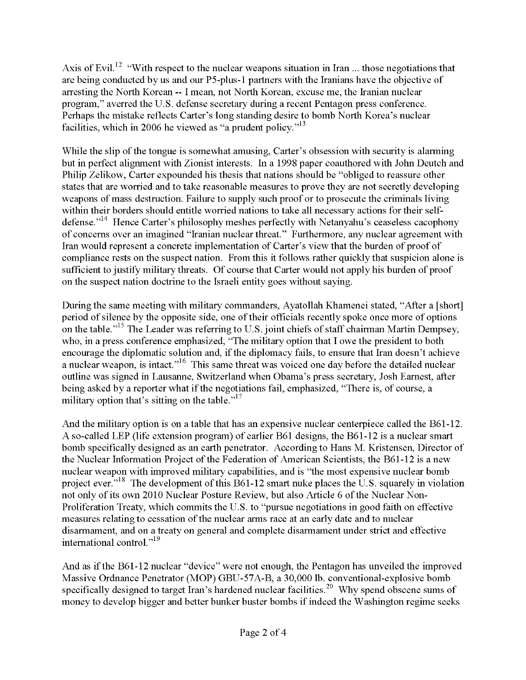Axis of Evil.<sup>12</sup> "With respect to the nuclear weapons situation in Iran ... those negotiations that are being conducted by us and our P5-plus-l partners with the Iranians have the objective of arresting the North Korean --1 mean, not North Korean, excuse me, the Iranian nuclear program," averred the U.S. defense secretary during a recent Pentagon press conference. Perhaps the mistake reflects Carter's long standing desire to bomb North Korea's nuclear facilities, which in 2006 he viewed as "a prudent policy."<sup>13</sup>

While the slip of the tongue is somewhat amusing, Carter's obsession with security is alarming but in perfect alignment with Zionist interests. In a 1998 paper coauthored with John Deutch and Philip Zelikow, Carter expounded his thesis that nations should be "obliged to reassure other states that are worried and to take reasonable measures to prove they are not secretly developing weapons of mass destruction. Failure to supply such proof or to prosecute the criminals living within their borders should entitle worried nations to take all necessary actions for their selfdefense."<sup>14</sup> Hence Carter's philosophy meshes perfectly with Netanyahu's ceaseless cacophony of concerns over an imagined "Iranian nuclear threat." Furthermore, any nuclear agreement with Iran would represent a concrete implementation of Carter's view that the burden of proof of compliance rests on the suspect nation. From this it follows rather quickly that suspicion alone is sufficient to justify military threats. Of course that Carter would not apply his burden of proof on the suspect nation doctrine to the Israeli entity goes without saying.

During the same meeting with military commanders, Ayatollah Khamenei stated, "After a [short] period of silence by the opposite side, one of their officials recently spoke once more of options on the table."<sup>15</sup> The Leader was referring to U.S. joint chiefs of staff chairman Martin Dempsey, who, in a press conference emphasized, "The military option that I owe the president to both encourage the diplomatic solution and, if the diplomacy fails, to ensure that Iran doesn't achieve a nuclear weapon, is intact."<sup>16</sup> This same threat was voiced one day before the detailed nuclear outline was signed in Lausanne, Switzerland when Obama's press secretary, Josh Earnest, after being asked by a reporter what if the negotiations fail, emphasized, "There is, of course, a military option that's sitting on the table. $17$ 

And the military option is on a table that has an expensive nuclear centerpiece called the B61-12. A so-called LEP (life extension program) of earlier B61 designs, the B61-12 is a nuclear smart bomb specifically designed as an earth penetrator. According to Hans M. Kristensen, Director of the Nuclear Information Project of the Federation of American Scientists, the B61-12 is a new nuclear weapon with improved military capabilities, and is "the most expensive nuclear bomb project ever.<sup> $18$ </sup>. The development of this B61-12 smart nuke places the U.S. squarely in violation not only of its own 2010 Nuclear Posture Review, but also Article 6 of the Nuclear Non-Proliferation Treaty, which commits the U.S. to "pursue negotiations in good faith on effective measures relating to cessation of the nuclear arms race at an early date and to nuclear disarmament, and on a treaty on general and complete disarmament under strict and effective international control."<sup>19</sup>

And as if the B61-12 nuclear "device" were not enough, the Pentagon has unveiled the improved Massive Ordnance Penetrator (MOP) GBU-57A-B, a 30,000 lb. conventional-explosive bomb specifically designed to target Iran's hardened nuclear facilities.<sup>20</sup> Why spend obscene sums of money to develop bigger and better bunker buster bombs ifindeed the Washington regime seeks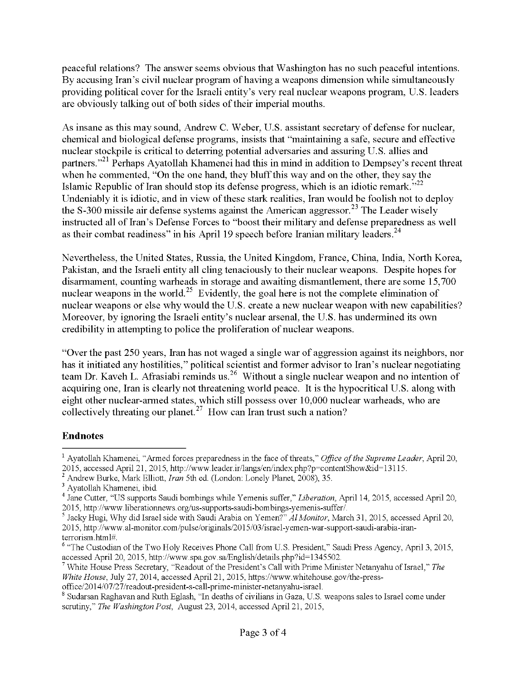peaceful relations? The answer seems obvious that Washington has no such peaceful intentions. By accusing Iran's civil nuclear program ofhaving a weapons dimension while simultaneously providing political cover for the Israeli entity's very real nuclear weapons program, U.S. leaders are obviously talking out of both sides of their imperial mouths.

As insane as this may sound, Andrew C. Weber, U.S. assistant secretary of defense for nuclear, chemical and biological defense programs, insists that "maintaining a safe, secure and effective nuclear stockpile is critical to deterring potential adversaries and assuring U.S. allies and partners."<sup>21</sup> Perhaps Ayatollah Khamenei had this in mind in addition to Dempsey's recent threat when he commented, "On the one hand, they bluff this way and on the other, they say the Islamic Republic of Iran should stop its defense progress, which is an idiotic remark." $2^2$ Undeniably it is idiotic, and in view of these stark realities, Iran would be foolish not to deploy the S-300 missile air defense systems against the American aggressor.<sup>23</sup> The Leader wisely instructed all of Iran's Defense Forces to "boost their military and defense preparedness as well as their combat readiness" in his April 19 speech before Iranian military leaders.<sup>24</sup>

Nevertheless, the United States, Russia, the United Kingdom, France, China, India, North Korea, Pakistan, and the Israeli entity all cling tenaciously to their nuclear weapons. Despite hopes for disarmament, counting warheads in storage and awaiting dismantlement, there are some 15,700 nuclear weapons in the world.<sup>25</sup> Evidently, the goal here is not the complete elimination of nuclear weapons or else why would the U.S. create a new nuclear weapon with new capabilities? Moreover, by ignoring the Israeli entity's nuclear arsenal, the U.S. has undermined its own credibility in attempting to police the proliferation of nuclear weapons.

"Over the past 250 years, Iran has not waged a single war of aggression against its neighbors, nor has it initiated any hostilities," political scientist and former advisor to Iran's nuclear negotiating team Dr. Kaveh L. Afrasiabi reminds us.<sup>26</sup> Without a single nuclear weapon and no intention of acquiring one, Iran is clearly not threatening world peace. It is the hypocritical U.S. along with eight other nuclear-armed states, which still possess over 10,000 nuclear warheads, who are collectively threating our planet.<sup>27</sup> How can Iran trust such a nation?

## **Endnotes**

<sup>&</sup>lt;sup>1</sup> Ayatollah Khamenei, "Armed forces preparedness in the face of threats," *Office of the Supreme Leader*, April 20, 2015, accessed April 21, 2015, http://www.leader.ir/langs/en/index.php?p=contentShow&id=13115.

<sup>2</sup> Andrew Burke, Mark Elliott, *Iran* 5th ed. (London: Lonely Planet, 2008), 35.

<sup>3</sup> Ayatollah Khamenei, ibid.

<sup>4</sup> Jane Cutter, "US supports Saudi bombings while Yemenis suffer," *Liberation*, April 14, 2015, accessed April 20, 2015, http://www.liberationnews.org/us-supports-saudi-bombings-yemenis-suffer/.

<sup>5</sup> Jacky Hugi, Why did Israel side with Saudi Arabia on Yemen?" *AlMonitor,* March 31, 2015, accessed April 20, 2015, http://www.al-monitor.com/pulse/originals/2015/03/israel-yemen-war-support-saudi-arabia-iranterrorism.html#.

<sup>&</sup>lt;sup>6</sup> "The Custodian of the Two Holy Receives Phone Call from U.S. President," Saudi Press Agency, April 3, 2015, accessed April 20, 2015, http://www.spa.gov. sa/English/details.php?id=1345502.

<sup>&</sup>lt;sup>7</sup> White House Press Secretary, "Readout of the President's Call with Prime Minister Netanyahu of Israel," The *White House*, July 27, 2014, accessed April 21, 2015, https://www.whitehouse.gov/the-press-

office/2014/07/27/readout-president-s-call-prime-minister-netanyahu-israel.

<sup>8</sup> Sudarsan Raghavan and Ruth Eglash, "In deaths of civilians in Gaza, U.S. weapons sales to Israel come under scrutiny," *The Washington Post,* August 23, 2014, accessed April 21, 2015,